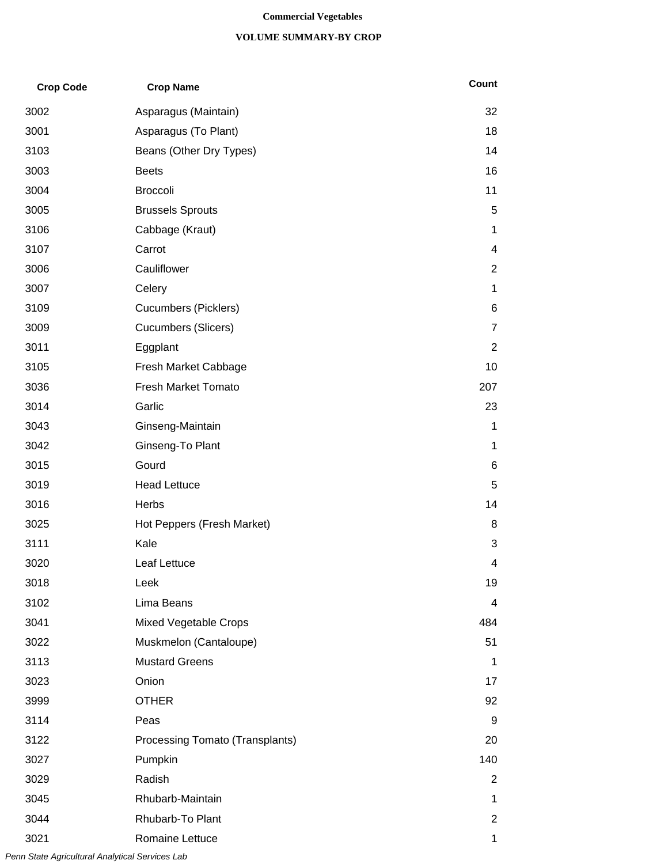#### **Commercial Vegetables**

#### **VOLUME SUMMARY-BY CROP**

| <b>Crop Code</b> | <b>Crop Name</b>                | Count          |
|------------------|---------------------------------|----------------|
| 3002             | Asparagus (Maintain)            | 32             |
| 3001             | Asparagus (To Plant)            | 18             |
| 3103             | Beans (Other Dry Types)         | 14             |
| 3003             | <b>Beets</b>                    | 16             |
| 3004             | <b>Broccoli</b>                 | 11             |
| 3005             | <b>Brussels Sprouts</b>         | 5              |
| 3106             | Cabbage (Kraut)                 | 1              |
| 3107             | Carrot                          | 4              |
| 3006             | Cauliflower                     | 2              |
| 3007             | Celery                          | 1              |
| 3109             | <b>Cucumbers (Picklers)</b>     | 6              |
| 3009             | <b>Cucumbers (Slicers)</b>      | $\overline{7}$ |
| 3011             | Eggplant                        | 2              |
| 3105             | Fresh Market Cabbage            | 10             |
| 3036             | <b>Fresh Market Tomato</b>      | 207            |
| 3014             | Garlic                          | 23             |
| 3043             | Ginseng-Maintain                | 1              |
| 3042             | Ginseng-To Plant                | 1              |
| 3015             | Gourd                           | 6              |
| 3019             | <b>Head Lettuce</b>             | 5              |
| 3016             | Herbs                           | 14             |
| 3025             | Hot Peppers (Fresh Market)      | 8              |
| 3111             | Kale                            | 3              |
| 3020             | Leaf Lettuce                    | 4              |
| 3018             | Leek                            | 19             |
| 3102             | Lima Beans                      | 4              |
| 3041             | Mixed Vegetable Crops           | 484            |
| 3022             | Muskmelon (Cantaloupe)          | 51             |
| 3113             | <b>Mustard Greens</b>           | 1              |
| 3023             | Onion                           | 17             |
| 3999             | <b>OTHER</b>                    | 92             |
| 3114             | Peas                            | 9              |
| 3122             | Processing Tomato (Transplants) | 20             |
| 3027             | Pumpkin                         | 140            |
| 3029             | Radish                          | $\overline{2}$ |
| 3045             | Rhubarb-Maintain                | 1.             |
| 3044             | Rhubarb-To Plant                | 2              |
| 3021             | Romaine Lettuce                 | 1              |

*Penn State Agricultural Analytical Services Lab*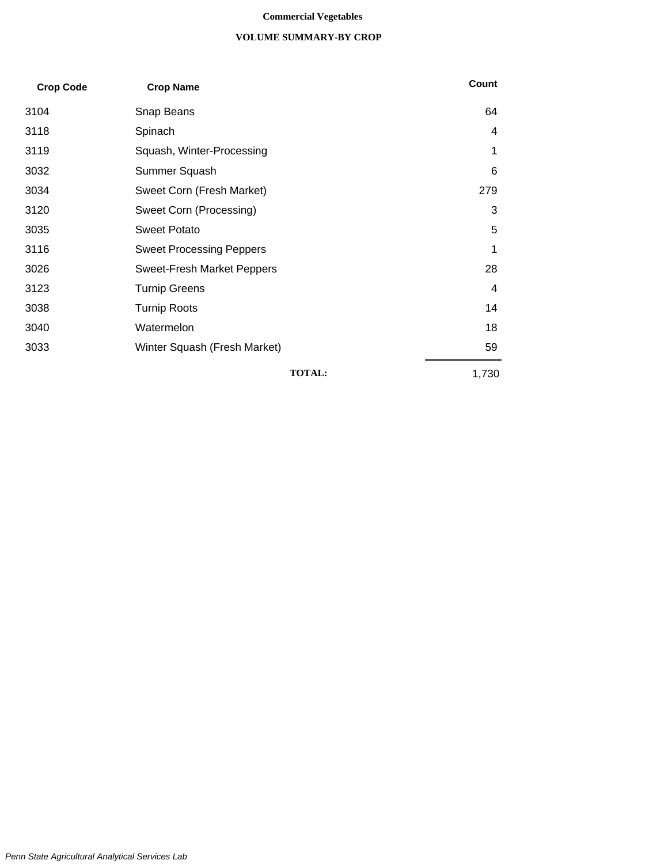#### **Commercial Vegetables**

#### **VOLUME SUMMARY-BY CROP**

| <b>Crop Code</b> | <b>Crop Name</b>                  | Count |
|------------------|-----------------------------------|-------|
| 3104             | Snap Beans                        | 64    |
| 3118             | Spinach                           | 4     |
| 3119             | Squash, Winter-Processing         | 1     |
| 3032             | Summer Squash                     | 6     |
| 3034             | Sweet Corn (Fresh Market)         | 279   |
| 3120             | Sweet Corn (Processing)           | 3     |
| 3035             | <b>Sweet Potato</b>               | 5     |
| 3116             | <b>Sweet Processing Peppers</b>   | 1     |
| 3026             | <b>Sweet-Fresh Market Peppers</b> | 28    |
| 3123             | <b>Turnip Greens</b>              | 4     |
| 3038             | <b>Turnip Roots</b>               | 14    |
| 3040             | Watermelon                        | 18    |
| 3033             | Winter Squash (Fresh Market)      | 59    |
|                  | <b>TOTAL:</b>                     | 1,730 |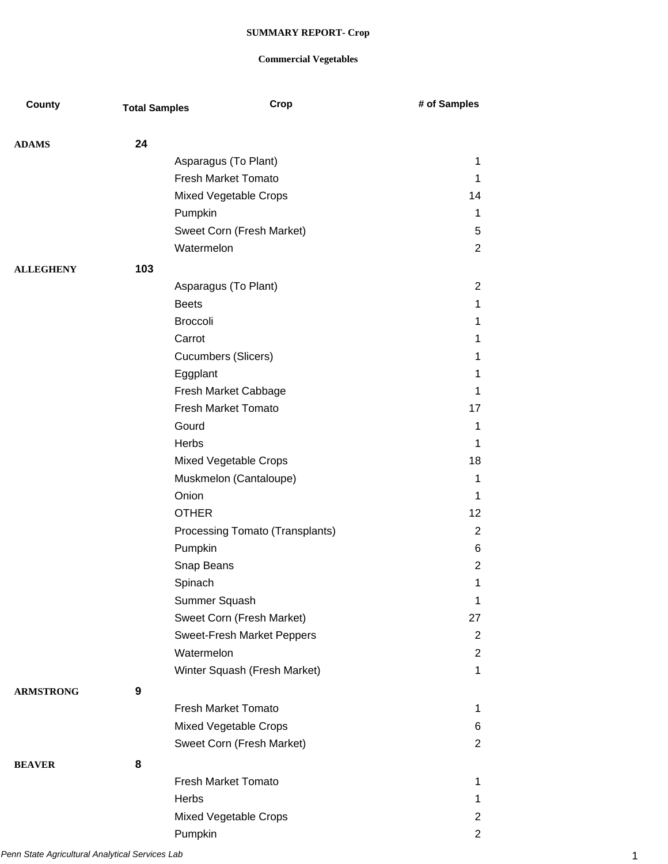| County           | <b>Total Samples</b> | Crop                            | # of Samples   |
|------------------|----------------------|---------------------------------|----------------|
|                  |                      |                                 |                |
| <b>ADAMS</b>     | 24                   |                                 |                |
|                  |                      | Asparagus (To Plant)            | $\mathbf 1$    |
|                  |                      | Fresh Market Tomato             | 1              |
|                  |                      | Mixed Vegetable Crops           | 14             |
|                  |                      | Pumpkin                         | $\mathbf 1$    |
|                  |                      | Sweet Corn (Fresh Market)       | 5              |
|                  |                      | Watermelon                      | 2              |
| <b>ALLEGHENY</b> | 103                  |                                 |                |
|                  |                      | Asparagus (To Plant)            | $\overline{2}$ |
|                  |                      | <b>Beets</b>                    | $\mathbf 1$    |
|                  |                      | <b>Broccoli</b>                 | 1              |
|                  |                      | Carrot                          | 1              |
|                  |                      | Cucumbers (Slicers)             | $\mathbf 1$    |
|                  |                      | Eggplant                        | 1              |
|                  |                      | Fresh Market Cabbage            | 1              |
|                  |                      | <b>Fresh Market Tomato</b>      | 17             |
|                  |                      | Gourd                           | 1              |
|                  |                      | Herbs                           | 1              |
|                  |                      | Mixed Vegetable Crops           | 18             |
|                  |                      | Muskmelon (Cantaloupe)          | $\mathbf 1$    |
|                  |                      | Onion                           | 1              |
|                  |                      | <b>OTHER</b>                    | 12             |
|                  |                      | Processing Tomato (Transplants) | $\overline{2}$ |
|                  |                      | Pumpkin                         | 6              |
|                  |                      | Snap Beans                      | 2              |
|                  |                      | Spinach                         | 1              |
|                  |                      | Summer Squash                   | $\mathbf 1$    |
|                  |                      | Sweet Corn (Fresh Market)       | 27             |
|                  |                      | Sweet-Fresh Market Peppers      | 2              |
|                  |                      | Watermelon                      | $\overline{2}$ |
|                  |                      | Winter Squash (Fresh Market)    | $\mathbf{1}$   |
| <b>ARMSTRONG</b> | 9                    |                                 |                |
|                  |                      | <b>Fresh Market Tomato</b>      | $\mathbf 1$    |
|                  |                      | Mixed Vegetable Crops           | 6              |
|                  |                      | Sweet Corn (Fresh Market)       | $\overline{2}$ |
| <b>BEAVER</b>    | 8                    |                                 |                |
|                  |                      | <b>Fresh Market Tomato</b>      | $\mathbf 1$    |
|                  |                      | Herbs                           | 1              |
|                  |                      | Mixed Vegetable Crops           | $\overline{2}$ |
|                  |                      | Pumpkin                         | $\overline{2}$ |
|                  |                      |                                 |                |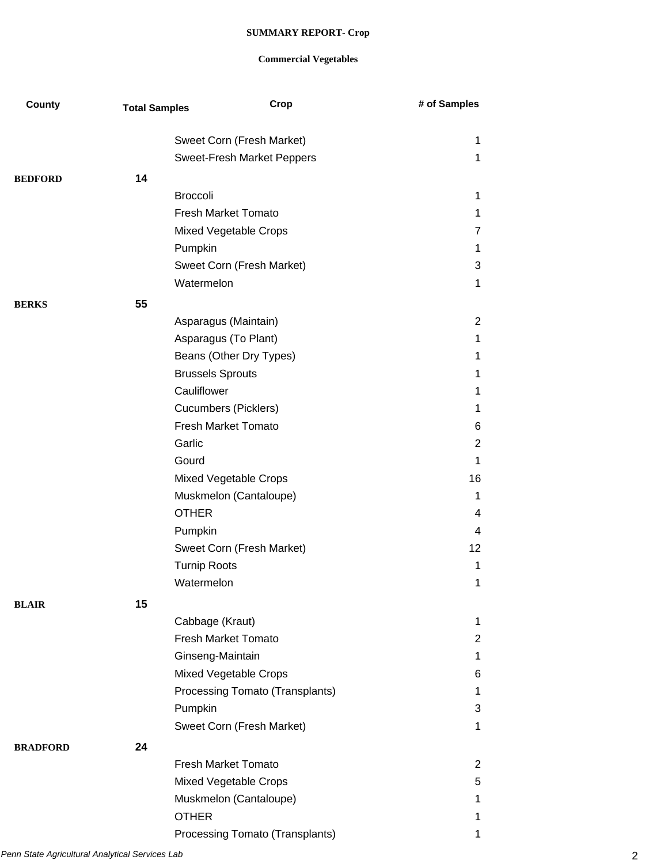| County          | <b>Total Samples</b> | Crop                            | # of Samples     |
|-----------------|----------------------|---------------------------------|------------------|
|                 |                      |                                 |                  |
|                 |                      | Sweet Corn (Fresh Market)       | 1<br>$\mathbf 1$ |
|                 |                      | Sweet-Fresh Market Peppers      |                  |
| <b>BEDFORD</b>  | 14                   |                                 |                  |
|                 |                      | <b>Broccoli</b>                 | $\mathbf 1$      |
|                 |                      | <b>Fresh Market Tomato</b>      | $\mathbf 1$      |
|                 |                      | Mixed Vegetable Crops           | $\overline{7}$   |
|                 |                      | Pumpkin                         | $\mathbf 1$      |
|                 |                      | Sweet Corn (Fresh Market)       | 3                |
|                 |                      | Watermelon                      | $\mathbf 1$      |
| <b>BERKS</b>    | 55                   |                                 |                  |
|                 |                      | Asparagus (Maintain)            | $\overline{2}$   |
|                 |                      | Asparagus (To Plant)            | $\mathbf 1$      |
|                 |                      | Beans (Other Dry Types)         | 1                |
|                 |                      | <b>Brussels Sprouts</b>         | $\mathbf 1$      |
|                 |                      | Cauliflower                     | $\mathbf 1$      |
|                 |                      | <b>Cucumbers (Picklers)</b>     | $\mathbf 1$      |
|                 |                      | <b>Fresh Market Tomato</b>      | 6                |
|                 |                      | Garlic                          | 2                |
|                 |                      | Gourd                           | 1                |
|                 |                      | Mixed Vegetable Crops           | 16               |
|                 |                      | Muskmelon (Cantaloupe)          | $\mathbf 1$      |
|                 |                      | <b>OTHER</b>                    | 4                |
|                 |                      | Pumpkin                         | 4                |
|                 |                      | Sweet Corn (Fresh Market)       | 12               |
|                 |                      | <b>Turnip Roots</b>             | $\mathbf 1$      |
|                 |                      | Watermelon                      | 1                |
| <b>BLAIR</b>    | 15                   |                                 |                  |
|                 |                      | Cabbage (Kraut)                 | $\mathbf{1}$     |
|                 |                      | <b>Fresh Market Tomato</b>      | $\overline{2}$   |
|                 |                      | Ginseng-Maintain                | $\mathbf 1$      |
|                 |                      | Mixed Vegetable Crops           | 6                |
|                 |                      | Processing Tomato (Transplants) | $\mathbf 1$      |
|                 |                      | Pumpkin                         | 3                |
|                 |                      | Sweet Corn (Fresh Market)       | $\mathbf 1$      |
| <b>BRADFORD</b> | 24                   |                                 |                  |
|                 |                      | <b>Fresh Market Tomato</b>      | $\overline{2}$   |
|                 |                      | Mixed Vegetable Crops           | 5                |
|                 |                      | Muskmelon (Cantaloupe)          | 1                |
|                 |                      | <b>OTHER</b>                    | 1                |
|                 |                      | Processing Tomato (Transplants) | 1                |
|                 |                      |                                 |                  |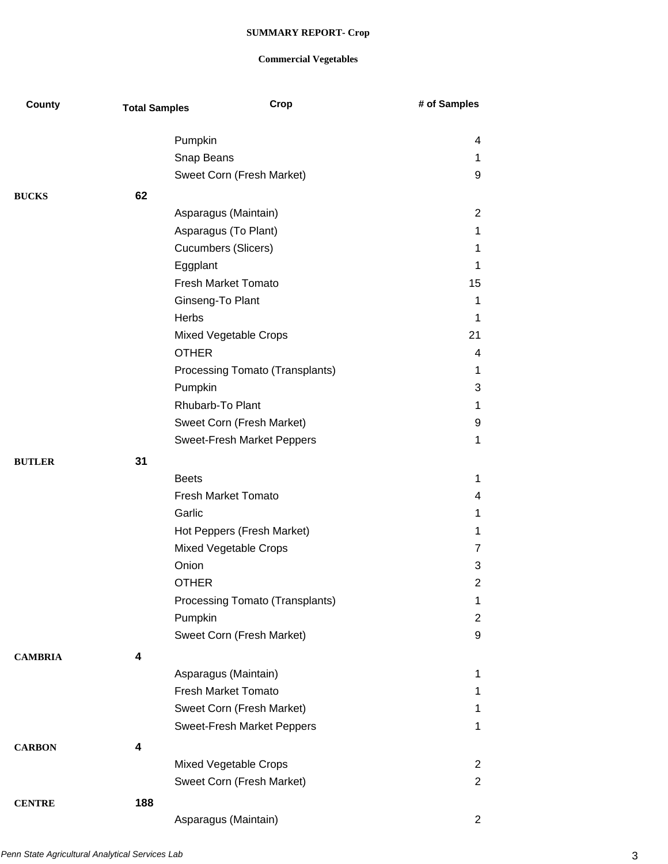| County         | <b>Total Samples</b> | Crop                              | # of Samples   |
|----------------|----------------------|-----------------------------------|----------------|
|                |                      |                                   |                |
|                |                      | Pumpkin                           | 4              |
|                |                      | Snap Beans                        | 1<br>9         |
|                |                      | Sweet Corn (Fresh Market)         |                |
| <b>BUCKS</b>   | 62                   |                                   |                |
|                |                      | Asparagus (Maintain)              | $\overline{2}$ |
|                |                      | Asparagus (To Plant)              | 1              |
|                |                      | <b>Cucumbers (Slicers)</b>        | 1              |
|                |                      | Eggplant                          | 1              |
|                |                      | <b>Fresh Market Tomato</b>        | 15             |
|                |                      | Ginseng-To Plant                  | 1              |
|                |                      | Herbs                             | 1              |
|                |                      | Mixed Vegetable Crops             | 21             |
|                |                      | <b>OTHER</b>                      | 4              |
|                |                      | Processing Tomato (Transplants)   | 1              |
|                |                      | Pumpkin                           | 3              |
|                |                      | Rhubarb-To Plant                  | 1              |
|                |                      | Sweet Corn (Fresh Market)         | 9              |
|                |                      | <b>Sweet-Fresh Market Peppers</b> | 1              |
| <b>BUTLER</b>  | 31                   |                                   |                |
|                |                      | <b>Beets</b>                      | 1              |
|                |                      | <b>Fresh Market Tomato</b>        | 4              |
|                |                      | Garlic                            | 1              |
|                |                      | Hot Peppers (Fresh Market)        | 1              |
|                |                      | Mixed Vegetable Crops             | 7              |
|                |                      | Onion                             | 3              |
|                |                      | <b>OTHER</b>                      | 2              |
|                |                      | Processing Tomato (Transplants)   | 1              |
|                |                      | Pumpkin                           | $\overline{2}$ |
|                |                      | Sweet Corn (Fresh Market)         | 9              |
| <b>CAMBRIA</b> | 4                    |                                   |                |
|                |                      | Asparagus (Maintain)              | 1              |
|                |                      | <b>Fresh Market Tomato</b>        | 1              |
|                |                      | Sweet Corn (Fresh Market)         | 1              |
|                |                      | Sweet-Fresh Market Peppers        | 1              |
|                |                      |                                   |                |
| <b>CARBON</b>  | 4                    |                                   |                |
|                |                      | Mixed Vegetable Crops             | $\overline{2}$ |
|                |                      | Sweet Corn (Fresh Market)         | $\overline{2}$ |
| <b>CENTRE</b>  | 188                  |                                   |                |
|                |                      | Asparagus (Maintain)              | $\overline{2}$ |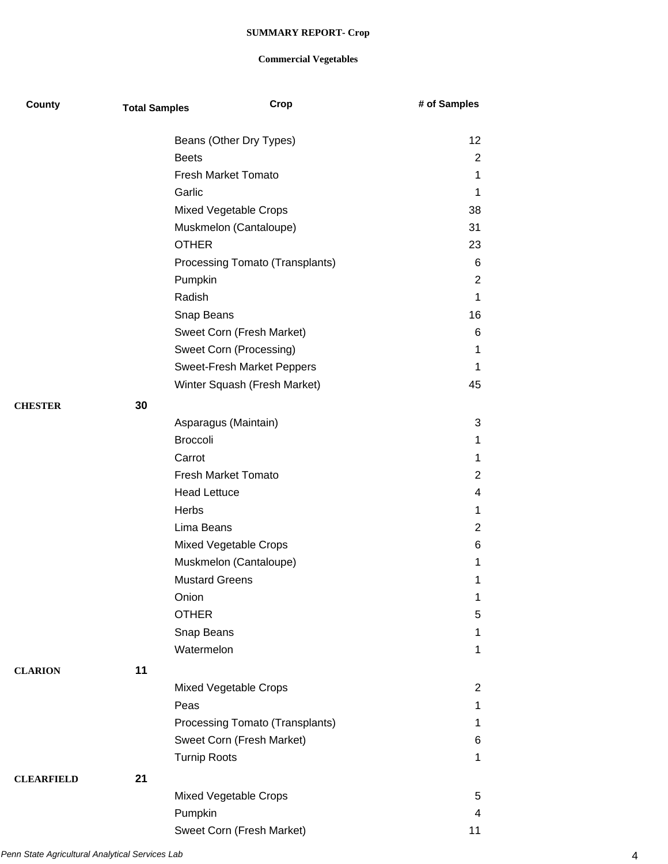| County            | <b>Total Samples</b> | Crop                              | # of Samples |
|-------------------|----------------------|-----------------------------------|--------------|
|                   |                      | Beans (Other Dry Types)           | 12           |
|                   |                      | <b>Beets</b>                      | 2            |
|                   |                      | <b>Fresh Market Tomato</b>        | 1            |
|                   |                      | Garlic                            | 1            |
|                   |                      | Mixed Vegetable Crops             | 38           |
|                   |                      | Muskmelon (Cantaloupe)            | 31           |
|                   |                      | <b>OTHER</b>                      | 23           |
|                   |                      | Processing Tomato (Transplants)   | 6            |
|                   |                      | Pumpkin                           | 2            |
|                   |                      | Radish                            | 1            |
|                   |                      | Snap Beans                        | 16           |
|                   |                      | Sweet Corn (Fresh Market)         | 6            |
|                   |                      | Sweet Corn (Processing)           | 1            |
|                   |                      | <b>Sweet-Fresh Market Peppers</b> | 1            |
|                   |                      | Winter Squash (Fresh Market)      | 45           |
| <b>CHESTER</b>    | 30                   |                                   |              |
|                   |                      | Asparagus (Maintain)              | 3            |
|                   |                      | <b>Broccoli</b>                   | 1            |
|                   |                      | Carrot                            | 1            |
|                   |                      | <b>Fresh Market Tomato</b>        | 2            |
|                   |                      | <b>Head Lettuce</b>               | 4            |
|                   |                      | Herbs                             | 1            |
|                   |                      | Lima Beans                        | 2            |
|                   |                      | Mixed Vegetable Crops             | 6            |
|                   |                      | Muskmelon (Cantaloupe)            | 1            |
|                   |                      | <b>Mustard Greens</b>             | 1            |
|                   |                      | Onion                             | 1            |
|                   |                      | <b>OTHER</b>                      | 5            |
|                   |                      | Snap Beans                        | 1            |
|                   |                      | Watermelon                        | 1            |
| <b>CLARION</b>    | 11                   |                                   |              |
|                   |                      | Mixed Vegetable Crops             | 2            |
|                   |                      | Peas                              | 1            |
|                   |                      | Processing Tomato (Transplants)   | 1            |
|                   |                      | Sweet Corn (Fresh Market)         | 6            |
|                   |                      | <b>Turnip Roots</b>               | 1            |
| <b>CLEARFIELD</b> | 21                   |                                   |              |
|                   |                      | Mixed Vegetable Crops             | 5            |
|                   |                      | Pumpkin                           | 4            |
|                   |                      | Sweet Corn (Fresh Market)         | 11           |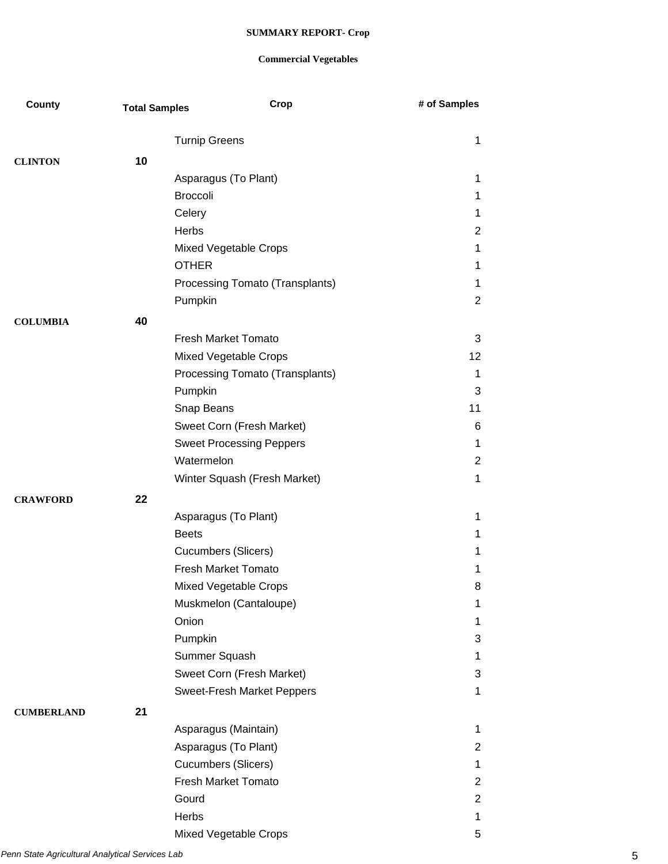| County            | <b>Total Samples</b> | Crop                                    | # of Samples        |
|-------------------|----------------------|-----------------------------------------|---------------------|
|                   |                      | <b>Turnip Greens</b>                    | 1                   |
|                   |                      |                                         |                     |
| <b>CLINTON</b>    | 10                   |                                         |                     |
|                   |                      | Asparagus (To Plant)<br><b>Broccoli</b> | 1                   |
|                   |                      |                                         | 1                   |
|                   |                      | Celery<br>Herbs                         | 1<br>$\overline{2}$ |
|                   |                      |                                         |                     |
|                   |                      | Mixed Vegetable Crops<br><b>OTHER</b>   | 1                   |
|                   |                      |                                         | 1<br>1              |
|                   |                      | Processing Tomato (Transplants)         | 2                   |
|                   |                      | Pumpkin                                 |                     |
| <b>COLUMBIA</b>   | 40                   |                                         |                     |
|                   |                      | <b>Fresh Market Tomato</b>              | 3                   |
|                   |                      | Mixed Vegetable Crops                   | 12                  |
|                   |                      | Processing Tomato (Transplants)         | $\mathbf 1$         |
|                   |                      | Pumpkin                                 | 3                   |
|                   |                      | Snap Beans                              | 11                  |
|                   |                      | Sweet Corn (Fresh Market)               | 6                   |
|                   |                      | <b>Sweet Processing Peppers</b>         | 1                   |
|                   |                      | Watermelon                              | 2                   |
|                   |                      | Winter Squash (Fresh Market)            | 1                   |
| <b>CRAWFORD</b>   | 22                   |                                         |                     |
|                   |                      | Asparagus (To Plant)                    | 1                   |
|                   |                      | <b>Beets</b>                            | 1                   |
|                   |                      | <b>Cucumbers (Slicers)</b>              | 1                   |
|                   |                      | Fresh Market Tomato                     | 1                   |
|                   |                      | Mixed Vegetable Crops                   | 8                   |
|                   |                      | Muskmelon (Cantaloupe)                  | 1                   |
|                   |                      | Onion                                   | 1                   |
|                   |                      | Pumpkin                                 | 3                   |
|                   |                      | Summer Squash                           | 1                   |
|                   |                      | Sweet Corn (Fresh Market)               | 3                   |
|                   |                      | Sweet-Fresh Market Peppers              | 1                   |
| <b>CUMBERLAND</b> | 21                   |                                         |                     |
|                   |                      | Asparagus (Maintain)                    | 1.                  |
|                   |                      | Asparagus (To Plant)                    | $\overline{2}$      |
|                   |                      | Cucumbers (Slicers)                     | 1                   |
|                   |                      | Fresh Market Tomato                     | 2                   |
|                   |                      | Gourd                                   | $\overline{2}$      |
|                   |                      | Herbs                                   | 1                   |
|                   |                      | Mixed Vegetable Crops                   | 5                   |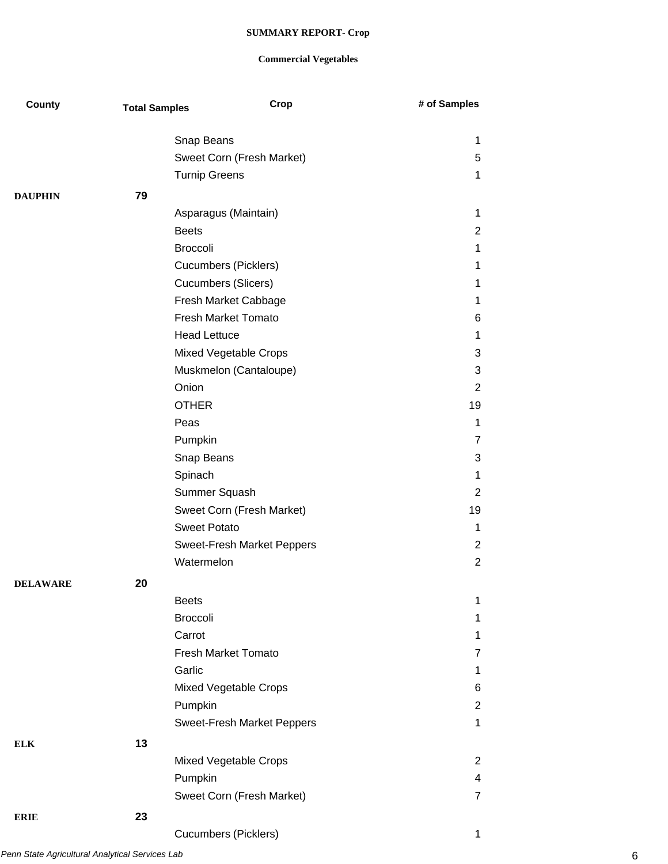| County          | <b>Total Samples</b> |                              | Crop | # of Samples   |
|-----------------|----------------------|------------------------------|------|----------------|
|                 |                      | Snap Beans                   |      | 1              |
|                 |                      | Sweet Corn (Fresh Market)    |      | 5              |
|                 |                      | <b>Turnip Greens</b>         |      | 1              |
| <b>DAUPHIN</b>  | 79                   |                              |      |                |
|                 |                      | Asparagus (Maintain)         |      | 1              |
|                 |                      | <b>Beets</b>                 |      | 2              |
|                 |                      | <b>Broccoli</b>              |      | 1              |
|                 |                      | <b>Cucumbers (Picklers)</b>  |      | 1              |
|                 |                      | <b>Cucumbers (Slicers)</b>   |      | 1              |
|                 |                      | Fresh Market Cabbage         |      | 1              |
|                 |                      | <b>Fresh Market Tomato</b>   |      | 6              |
|                 |                      | <b>Head Lettuce</b>          |      | 1              |
|                 |                      | <b>Mixed Vegetable Crops</b> |      | 3              |
|                 |                      | Muskmelon (Cantaloupe)       |      | 3              |
|                 |                      | Onion                        |      | 2              |
|                 |                      | <b>OTHER</b>                 |      | 19             |
|                 |                      | Peas                         |      | 1              |
|                 |                      | Pumpkin                      |      | 7              |
|                 |                      | Snap Beans                   |      | 3              |
|                 |                      | Spinach                      |      | 1              |
|                 |                      | Summer Squash                |      | 2              |
|                 |                      | Sweet Corn (Fresh Market)    |      | 19             |
|                 |                      | <b>Sweet Potato</b>          |      | 1              |
|                 |                      | Sweet-Fresh Market Peppers   |      | $\overline{2}$ |
|                 |                      | Watermelon                   |      | $\overline{2}$ |
| <b>DELAWARE</b> | 20                   |                              |      |                |
|                 |                      | <b>Beets</b>                 |      | 1              |
|                 |                      | <b>Broccoli</b>              |      | 1              |
|                 |                      | Carrot                       |      | 1              |
|                 |                      | <b>Fresh Market Tomato</b>   |      | 7              |
|                 |                      | Garlic                       |      | 1              |
|                 |                      | Mixed Vegetable Crops        |      | 6              |
|                 |                      | Pumpkin                      |      | $\overline{2}$ |
|                 |                      | Sweet-Fresh Market Peppers   |      | 1              |
| <b>ELK</b>      | 13                   |                              |      |                |
|                 |                      | Mixed Vegetable Crops        |      | 2              |
|                 |                      | Pumpkin                      |      | 4              |
|                 |                      | Sweet Corn (Fresh Market)    |      | 7              |
|                 |                      |                              |      |                |
| <b>ERIE</b>     | 23                   |                              |      |                |
|                 |                      | <b>Cucumbers (Picklers)</b>  |      | 1              |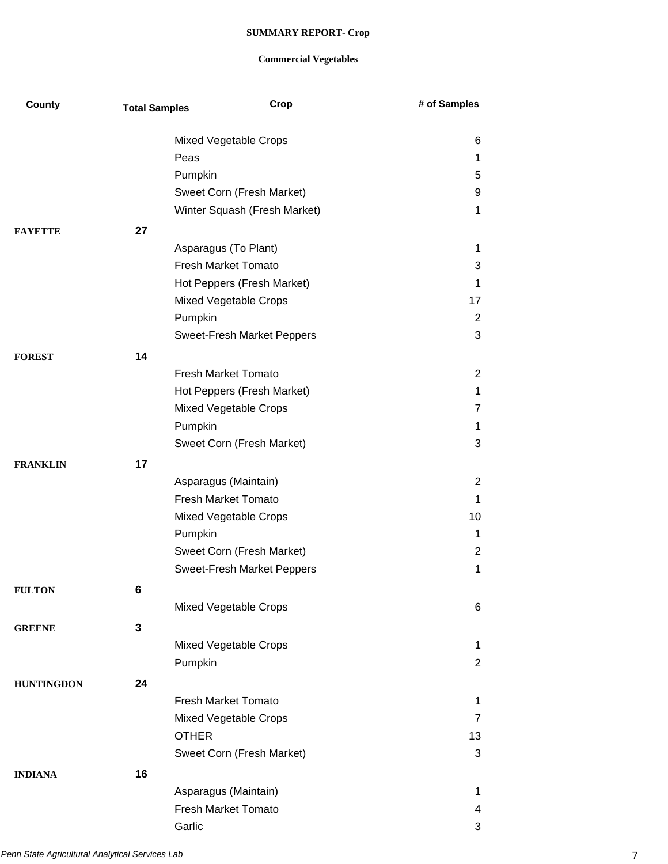| County            | <b>Total Samples</b> | Crop                                               | # of Samples        |
|-------------------|----------------------|----------------------------------------------------|---------------------|
|                   |                      | Mixed Vegetable Crops                              | 6                   |
|                   |                      | Peas                                               | 1                   |
|                   |                      | Pumpkin                                            | 5                   |
|                   |                      | Sweet Corn (Fresh Market)                          | 9                   |
|                   |                      | Winter Squash (Fresh Market)                       | 1                   |
| <b>FAYETTE</b>    | 27                   |                                                    |                     |
|                   |                      | Asparagus (To Plant)                               | 1                   |
|                   |                      | <b>Fresh Market Tomato</b>                         | 3                   |
|                   |                      | Hot Peppers (Fresh Market)                         | 1                   |
|                   |                      | Mixed Vegetable Crops                              | 17                  |
|                   |                      | Pumpkin                                            | 2                   |
|                   |                      | Sweet-Fresh Market Peppers                         | 3                   |
| <b>FOREST</b>     | 14                   |                                                    |                     |
|                   |                      | <b>Fresh Market Tomato</b>                         | 2                   |
|                   |                      | Hot Peppers (Fresh Market)                         | 1                   |
|                   |                      | Mixed Vegetable Crops                              | 7                   |
|                   |                      | Pumpkin                                            | 1                   |
|                   |                      | Sweet Corn (Fresh Market)                          | 3                   |
| <b>FRANKLIN</b>   | 17                   |                                                    |                     |
|                   |                      | Asparagus (Maintain)                               | 2                   |
|                   |                      | <b>Fresh Market Tomato</b>                         | 1                   |
|                   |                      | Mixed Vegetable Crops                              | 10                  |
|                   |                      | Pumpkin                                            | 1                   |
|                   |                      | Sweet Corn (Fresh Market)                          | $\overline{2}$      |
|                   |                      | Sweet-Fresh Market Peppers                         | 1                   |
| <b>FULTON</b>     | 6                    |                                                    |                     |
|                   |                      | Mixed Vegetable Crops                              | 6                   |
| <b>GREENE</b>     | 3                    |                                                    |                     |
|                   |                      | Mixed Vegetable Crops                              | 1                   |
|                   |                      | Pumpkin                                            | $\overline{2}$      |
|                   | 24                   |                                                    |                     |
| <b>HUNTINGDON</b> |                      | <b>Fresh Market Tomato</b>                         |                     |
|                   |                      | Mixed Vegetable Crops                              | 1<br>$\overline{7}$ |
|                   |                      | <b>OTHER</b>                                       | 13                  |
|                   |                      | Sweet Corn (Fresh Market)                          | 3                   |
|                   |                      |                                                    |                     |
| <b>INDIANA</b>    | 16                   |                                                    |                     |
|                   |                      | Asparagus (Maintain)<br><b>Fresh Market Tomato</b> | 1                   |
|                   |                      | Garlic                                             | 4<br>3              |
|                   |                      |                                                    |                     |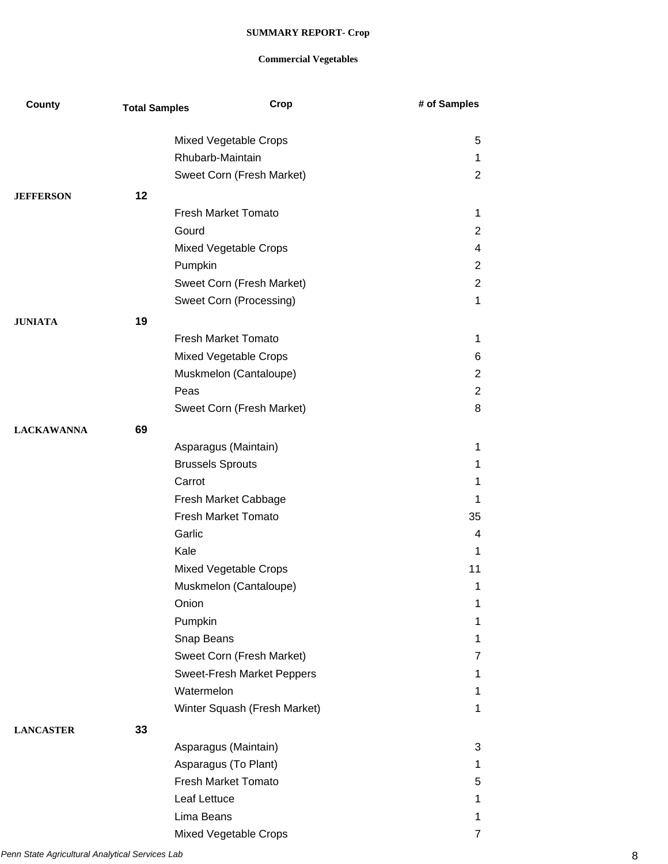| County            | <b>Total Samples</b> | Crop                         | # of Samples        |
|-------------------|----------------------|------------------------------|---------------------|
|                   |                      |                              |                     |
|                   |                      | Mixed Vegetable Crops        | 5                   |
|                   |                      | Rhubarb-Maintain             | 1<br>$\overline{2}$ |
|                   |                      | Sweet Corn (Fresh Market)    |                     |
| <b>JEFFERSON</b>  | 12                   |                              |                     |
|                   |                      | <b>Fresh Market Tomato</b>   | $\mathbf 1$         |
|                   |                      | Gourd                        | $\overline{2}$      |
|                   |                      | Mixed Vegetable Crops        | 4                   |
|                   |                      | Pumpkin                      | $\overline{2}$      |
|                   |                      | Sweet Corn (Fresh Market)    | $\overline{2}$      |
|                   |                      | Sweet Corn (Processing)      | 1                   |
| <b>JUNIATA</b>    | 19                   |                              |                     |
|                   |                      | <b>Fresh Market Tomato</b>   | 1                   |
|                   |                      | Mixed Vegetable Crops        | 6                   |
|                   |                      | Muskmelon (Cantaloupe)       | 2                   |
|                   |                      | Peas                         | 2                   |
|                   |                      | Sweet Corn (Fresh Market)    | 8                   |
| <b>LACKAWANNA</b> | 69                   |                              |                     |
|                   |                      | Asparagus (Maintain)         | 1                   |
|                   |                      | <b>Brussels Sprouts</b>      | 1                   |
|                   |                      | Carrot                       | 1                   |
|                   |                      | Fresh Market Cabbage         | 1                   |
|                   |                      | <b>Fresh Market Tomato</b>   | 35                  |
|                   |                      | Garlic                       | 4                   |
|                   |                      | Kale                         | 1                   |
|                   |                      | Mixed Vegetable Crops        | 11                  |
|                   |                      | Muskmelon (Cantaloupe)       | $\mathbf 1$         |
|                   |                      | Onion                        | 1                   |
|                   |                      | Pumpkin                      | 1                   |
|                   |                      | Snap Beans                   | 1                   |
|                   |                      | Sweet Corn (Fresh Market)    | 7                   |
|                   |                      | Sweet-Fresh Market Peppers   | 1                   |
|                   |                      | Watermelon                   | 1                   |
|                   |                      | Winter Squash (Fresh Market) | 1                   |
| <b>LANCASTER</b>  | 33                   |                              |                     |
|                   |                      | Asparagus (Maintain)         | 3                   |
|                   |                      | Asparagus (To Plant)         | 1                   |
|                   |                      | Fresh Market Tomato          | 5                   |
|                   |                      | Leaf Lettuce                 | 1                   |
|                   |                      | Lima Beans                   | 1                   |
|                   |                      | Mixed Vegetable Crops        | 7                   |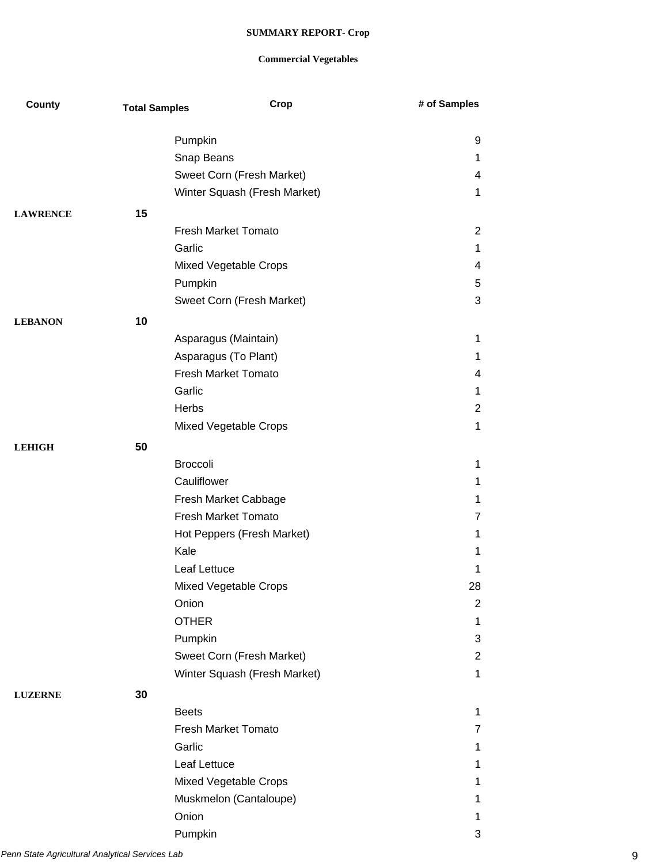| County          | <b>Total Samples</b> | Crop                         | # of Samples   |
|-----------------|----------------------|------------------------------|----------------|
|                 |                      |                              |                |
|                 |                      | Pumpkin                      | 9              |
|                 |                      | Snap Beans                   | 1              |
|                 |                      | Sweet Corn (Fresh Market)    | 4              |
|                 |                      | Winter Squash (Fresh Market) | $\mathbf 1$    |
| <b>LAWRENCE</b> | 15                   |                              |                |
|                 |                      | <b>Fresh Market Tomato</b>   | $\overline{2}$ |
|                 |                      | Garlic                       | 1              |
|                 |                      | Mixed Vegetable Crops        | 4              |
|                 |                      | Pumpkin                      | 5              |
|                 |                      | Sweet Corn (Fresh Market)    | 3              |
| <b>LEBANON</b>  | 10                   |                              |                |
|                 |                      | Asparagus (Maintain)         | $\mathbf 1$    |
|                 |                      | Asparagus (To Plant)         | $\mathbf 1$    |
|                 |                      | <b>Fresh Market Tomato</b>   | 4              |
|                 |                      | Garlic                       | $\mathbf 1$    |
|                 |                      | Herbs                        | $\overline{2}$ |
|                 |                      | Mixed Vegetable Crops        | $\mathbf 1$    |
| <b>LEHIGH</b>   | 50                   |                              |                |
|                 |                      | <b>Broccoli</b>              | $\mathbf 1$    |
|                 |                      | Cauliflower                  | $\mathbf 1$    |
|                 |                      | Fresh Market Cabbage         | $\mathbf 1$    |
|                 |                      | <b>Fresh Market Tomato</b>   | $\overline{7}$ |
|                 |                      | Hot Peppers (Fresh Market)   | 1              |
|                 |                      | Kale                         | 1              |
|                 |                      | Leaf Lettuce                 | 1              |
|                 |                      | Mixed Vegetable Crops        | 28             |
|                 |                      | Onion                        | $\overline{2}$ |
|                 |                      | <b>OTHER</b>                 | $\mathbf 1$    |
|                 |                      | Pumpkin                      | 3              |
|                 |                      | Sweet Corn (Fresh Market)    | $\overline{2}$ |
|                 |                      | Winter Squash (Fresh Market) | $\mathbf 1$    |
| <b>LUZERNE</b>  | 30                   |                              |                |
|                 |                      | <b>Beets</b>                 | $\mathbf{1}$   |
|                 |                      | <b>Fresh Market Tomato</b>   | 7              |
|                 |                      | Garlic                       | $\mathbf 1$    |
|                 |                      | Leaf Lettuce                 | $\mathbf 1$    |
|                 |                      | Mixed Vegetable Crops        | $\mathbf 1$    |
|                 |                      | Muskmelon (Cantaloupe)       | $\mathbf 1$    |
|                 |                      | Onion                        | 1              |
|                 |                      |                              | 3              |
|                 |                      | Pumpkin                      |                |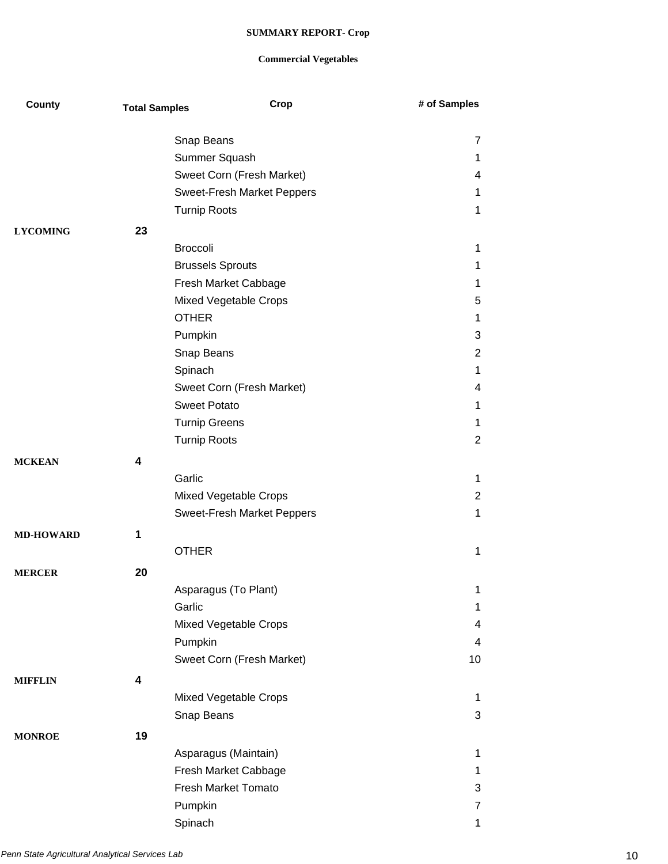| County           | <b>Total Samples</b> | Crop                                  | # of Samples   |
|------------------|----------------------|---------------------------------------|----------------|
|                  |                      | Snap Beans                            | 7              |
|                  |                      | Summer Squash                         | 1              |
|                  |                      | Sweet Corn (Fresh Market)             | 4              |
|                  |                      | Sweet-Fresh Market Peppers            | 1              |
|                  |                      | <b>Turnip Roots</b>                   | 1              |
|                  |                      |                                       |                |
| <b>LYCOMING</b>  | 23                   |                                       |                |
|                  |                      | <b>Broccoli</b>                       | 1              |
|                  |                      | <b>Brussels Sprouts</b>               | 1              |
|                  |                      | Fresh Market Cabbage                  | 1<br>5         |
|                  |                      | Mixed Vegetable Crops<br><b>OTHER</b> |                |
|                  |                      | Pumpkin                               | 1<br>3         |
|                  |                      | Snap Beans                            | $\overline{2}$ |
|                  |                      |                                       | 1              |
|                  |                      | Spinach<br>Sweet Corn (Fresh Market)  | 4              |
|                  |                      | <b>Sweet Potato</b>                   | 1              |
|                  |                      | <b>Turnip Greens</b>                  | 1              |
|                  |                      | <b>Turnip Roots</b>                   | 2              |
|                  |                      |                                       |                |
| <b>MCKEAN</b>    | 4                    |                                       |                |
|                  |                      | Garlic                                | 1              |
|                  |                      | Mixed Vegetable Crops                 | $\overline{2}$ |
|                  |                      | Sweet-Fresh Market Peppers            | 1              |
| <b>MD-HOWARD</b> | 1                    |                                       |                |
|                  |                      | <b>OTHER</b>                          | 1              |
| <b>MERCER</b>    | 20                   |                                       |                |
|                  |                      | Asparagus (To Plant)                  | 1              |
|                  |                      | Garlic                                | 1              |
|                  |                      | Mixed Vegetable Crops                 | 4              |
|                  |                      | Pumpkin                               | 4              |
|                  |                      | Sweet Corn (Fresh Market)             | 10             |
| <b>MIFFLIN</b>   | 4                    |                                       |                |
|                  |                      | Mixed Vegetable Crops                 | 1              |
|                  |                      | Snap Beans                            | 3              |
| <b>MONROE</b>    | 19                   |                                       |                |
|                  |                      | Asparagus (Maintain)                  | 1              |
|                  |                      | Fresh Market Cabbage                  | 1              |
|                  |                      | <b>Fresh Market Tomato</b>            | 3              |
|                  |                      | Pumpkin                               | 7              |
|                  |                      | Spinach                               | $\mathbf 1$    |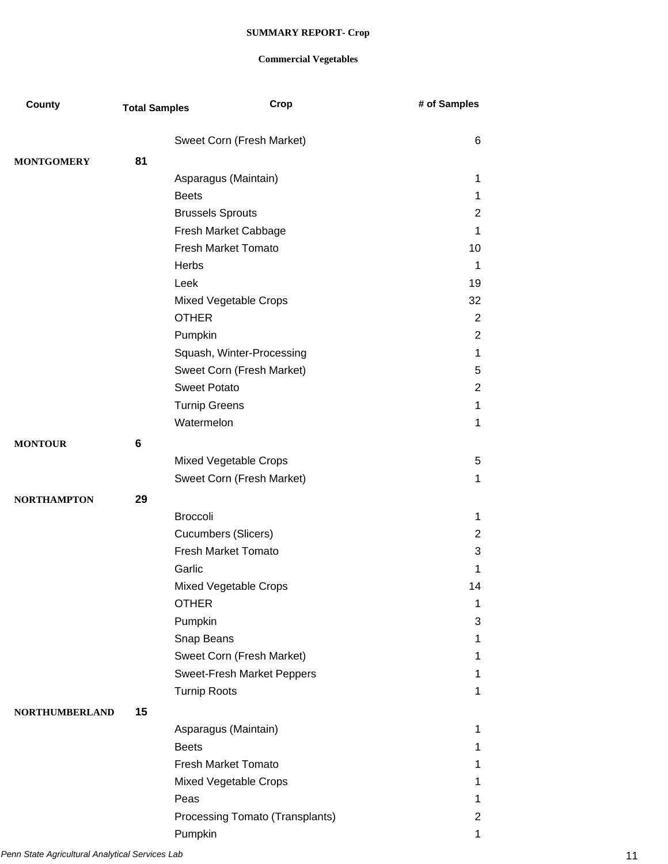| County                | <b>Total Samples</b> | Crop                            | # of Samples   |
|-----------------------|----------------------|---------------------------------|----------------|
|                       |                      | Sweet Corn (Fresh Market)       | 6              |
| <b>MONTGOMERY</b>     | 81                   |                                 |                |
|                       |                      | Asparagus (Maintain)            | 1              |
|                       |                      | <b>Beets</b>                    | 1              |
|                       |                      | <b>Brussels Sprouts</b>         | 2              |
|                       |                      | Fresh Market Cabbage            | 1              |
|                       |                      | <b>Fresh Market Tomato</b>      | 10             |
|                       |                      | Herbs                           | 1              |
|                       |                      | Leek                            | 19             |
|                       |                      | Mixed Vegetable Crops           | 32             |
|                       |                      | <b>OTHER</b>                    | $\overline{2}$ |
|                       |                      | Pumpkin                         | $\overline{2}$ |
|                       |                      | Squash, Winter-Processing       | 1              |
|                       |                      | Sweet Corn (Fresh Market)       | 5              |
|                       |                      | <b>Sweet Potato</b>             | 2              |
|                       |                      | <b>Turnip Greens</b>            | 1              |
|                       |                      | Watermelon                      | 1              |
| <b>MONTOUR</b>        | 6                    |                                 |                |
|                       |                      | Mixed Vegetable Crops           | 5              |
|                       |                      | Sweet Corn (Fresh Market)       | 1              |
| <b>NORTHAMPTON</b>    | 29                   |                                 |                |
|                       |                      | <b>Broccoli</b>                 | $\mathbf 1$    |
|                       |                      | <b>Cucumbers (Slicers)</b>      | $\overline{2}$ |
|                       |                      | <b>Fresh Market Tomato</b>      | 3              |
|                       |                      | Garlic                          | 1              |
|                       |                      | Mixed Vegetable Crops           | 14             |
|                       |                      | <b>OTHER</b>                    | 1              |
|                       |                      | Pumpkin                         | 3              |
|                       |                      | Snap Beans                      | 1              |
|                       |                      | Sweet Corn (Fresh Market)       | 1              |
|                       |                      | Sweet-Fresh Market Peppers      | 1              |
|                       |                      | <b>Turnip Roots</b>             | 1              |
| <b>NORTHUMBERLAND</b> | 15                   |                                 |                |
|                       |                      | Asparagus (Maintain)            | 1              |
|                       |                      | <b>Beets</b>                    | 1              |
|                       |                      | <b>Fresh Market Tomato</b>      | 1              |
|                       |                      | Mixed Vegetable Crops           | 1              |
|                       |                      | Peas                            | 1              |
|                       |                      | Processing Tomato (Transplants) | 2              |
|                       |                      | Pumpkin                         | 1              |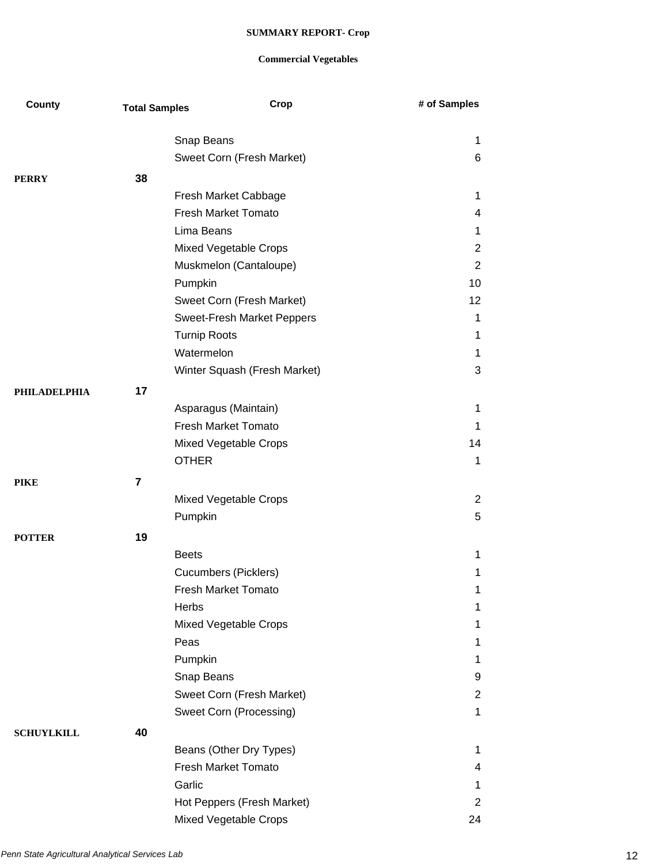| County              | <b>Total Samples</b> | Crop                         | # of Samples     |
|---------------------|----------------------|------------------------------|------------------|
|                     |                      |                              |                  |
|                     |                      | Snap Beans                   | 1                |
|                     |                      | Sweet Corn (Fresh Market)    | 6                |
| <b>PERRY</b>        | 38                   |                              |                  |
|                     |                      | Fresh Market Cabbage         | 1                |
|                     |                      | Fresh Market Tomato          | 4                |
|                     |                      | Lima Beans                   | 1                |
|                     |                      | Mixed Vegetable Crops        | 2                |
|                     |                      | Muskmelon (Cantaloupe)       | 2                |
|                     |                      | Pumpkin                      | 10               |
|                     |                      | Sweet Corn (Fresh Market)    | 12               |
|                     |                      | Sweet-Fresh Market Peppers   | $\mathbf 1$      |
|                     |                      | <b>Turnip Roots</b>          | 1                |
|                     |                      | Watermelon                   | 1                |
|                     |                      | Winter Squash (Fresh Market) | 3                |
| <b>PHILADELPHIA</b> | 17                   |                              |                  |
|                     |                      | Asparagus (Maintain)         | 1                |
|                     |                      | <b>Fresh Market Tomato</b>   | 1                |
|                     |                      | Mixed Vegetable Crops        | 14               |
|                     |                      | <b>OTHER</b>                 | $\mathbf 1$      |
| <b>PIKE</b>         | 7                    |                              |                  |
|                     |                      | Mixed Vegetable Crops        | 2                |
|                     |                      | Pumpkin                      | 5                |
| <b>POTTER</b>       | 19                   |                              |                  |
|                     |                      | <b>Beets</b>                 | $\mathbf{1}$     |
|                     |                      | <b>Cucumbers (Picklers)</b>  | 1                |
|                     |                      | <b>Fresh Market Tomato</b>   |                  |
|                     |                      | Herbs                        | 1<br>$\mathbf 1$ |
|                     |                      | Mixed Vegetable Crops        | 1.               |
|                     |                      | Peas                         | 1                |
|                     |                      | Pumpkin                      | 1                |
|                     |                      | Snap Beans                   | 9                |
|                     |                      | Sweet Corn (Fresh Market)    | $\overline{2}$   |
|                     |                      | Sweet Corn (Processing)      | $\mathbf 1$      |
|                     |                      |                              |                  |
| <b>SCHUYLKILL</b>   | 40                   |                              |                  |
|                     |                      | Beans (Other Dry Types)      | $\mathbf 1$      |
|                     |                      | Fresh Market Tomato          | 4                |
|                     |                      | Garlic                       | 1                |
|                     |                      | Hot Peppers (Fresh Market)   | 2                |
|                     |                      | Mixed Vegetable Crops        | 24               |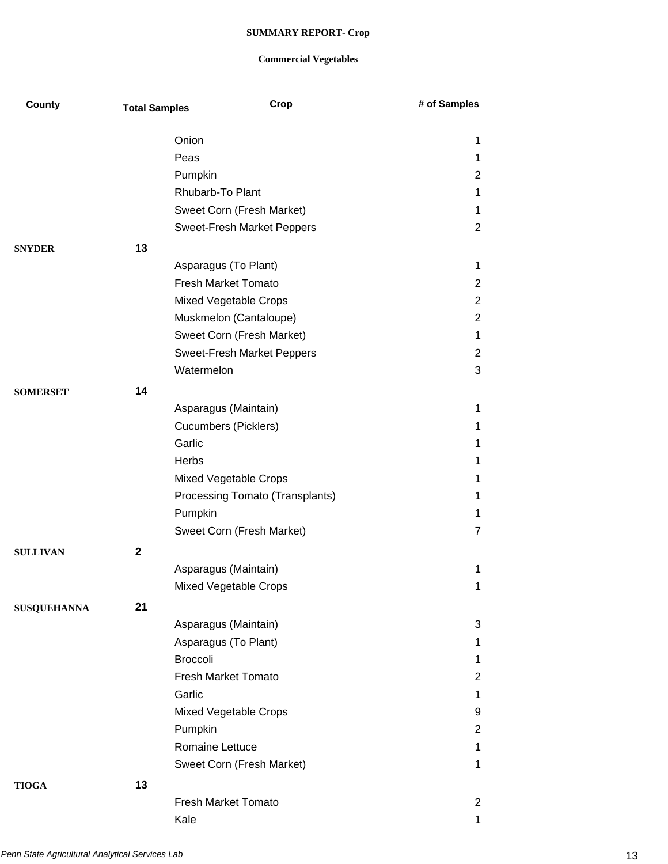| County             | <b>Total Samples</b> | Crop                            | # of Samples          |
|--------------------|----------------------|---------------------------------|-----------------------|
|                    |                      | Onion                           | 1                     |
|                    |                      | Peas                            | 1.                    |
|                    |                      | Pumpkin                         | $\overline{2}$        |
|                    |                      | Rhubarb-To Plant                | 1                     |
|                    |                      | Sweet Corn (Fresh Market)       | 1.                    |
|                    |                      | Sweet-Fresh Market Peppers      | $\overline{2}$        |
| <b>SNYDER</b>      | 13                   |                                 |                       |
|                    |                      | Asparagus (To Plant)            | $\mathbf 1$           |
|                    |                      | <b>Fresh Market Tomato</b>      | $\overline{2}$        |
|                    |                      | Mixed Vegetable Crops           | $\overline{2}$        |
|                    |                      | Muskmelon (Cantaloupe)          | $\overline{2}$        |
|                    |                      | Sweet Corn (Fresh Market)       | $\mathbf 1$           |
|                    |                      | Sweet-Fresh Market Peppers      | $\mathbf{2}^{\prime}$ |
|                    |                      | Watermelon                      | 3                     |
| <b>SOMERSET</b>    | 14                   |                                 |                       |
|                    |                      | Asparagus (Maintain)            | 1                     |
|                    |                      | <b>Cucumbers (Picklers)</b>     | 1                     |
|                    |                      | Garlic                          | 1                     |
|                    |                      | Herbs                           | 1                     |
|                    |                      | Mixed Vegetable Crops           | 1                     |
|                    |                      | Processing Tomato (Transplants) | 1                     |
|                    |                      | Pumpkin                         | 1                     |
|                    |                      | Sweet Corn (Fresh Market)       | 7                     |
| <b>SULLIVAN</b>    | $\mathbf{2}$         |                                 |                       |
|                    |                      | Asparagus (Maintain)            | 1                     |
|                    |                      | Mixed Vegetable Crops           | 1                     |
| <b>SUSQUEHANNA</b> | 21                   |                                 |                       |
|                    |                      | Asparagus (Maintain)            | 3                     |
|                    |                      | Asparagus (To Plant)            | 1                     |
|                    |                      | <b>Broccoli</b>                 | 1                     |
|                    |                      | Fresh Market Tomato             | $\overline{2}$        |
|                    |                      | Garlic                          | $\mathbf{1}$          |
|                    |                      | Mixed Vegetable Crops           | 9                     |
|                    |                      | Pumpkin                         | $\overline{2}$        |
|                    |                      | Romaine Lettuce                 | $\mathbf 1$           |
|                    |                      | Sweet Corn (Fresh Market)       | 1                     |
| <b>TIOGA</b>       | 13                   |                                 |                       |
|                    |                      | <b>Fresh Market Tomato</b>      | 2                     |
|                    |                      | Kale                            | 1                     |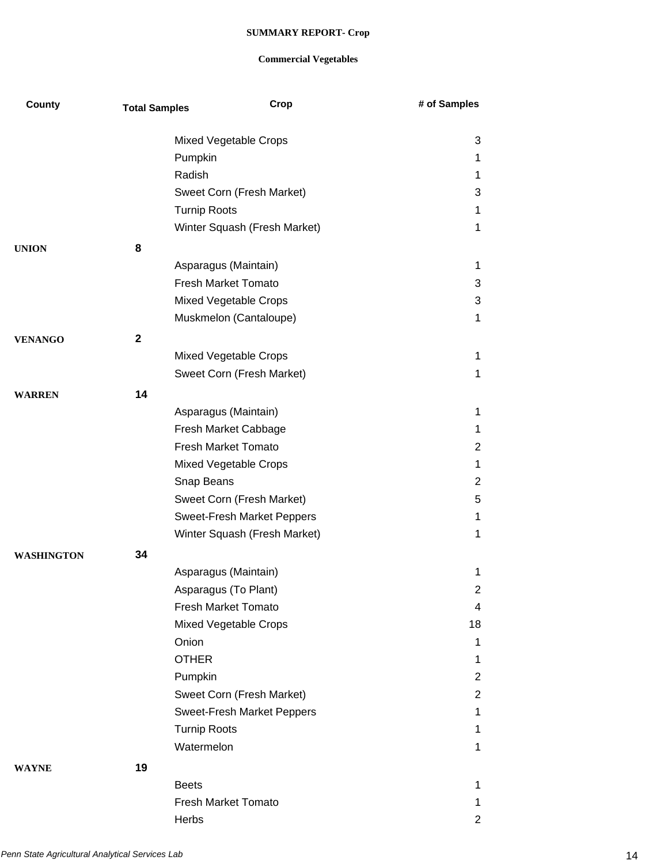| <b>County</b>     | <b>Total Samples</b> | Crop                              | # of Samples   |
|-------------------|----------------------|-----------------------------------|----------------|
|                   |                      | Mixed Vegetable Crops             | 3              |
|                   |                      | Pumpkin                           | 1              |
|                   |                      | Radish                            | 1              |
|                   |                      | Sweet Corn (Fresh Market)         | 3              |
|                   |                      | <b>Turnip Roots</b>               | 1              |
|                   |                      | Winter Squash (Fresh Market)      | 1              |
| <b>UNION</b>      | 8                    |                                   |                |
|                   |                      | Asparagus (Maintain)              | 1              |
|                   |                      | <b>Fresh Market Tomato</b>        | 3              |
|                   |                      | Mixed Vegetable Crops             | 3              |
|                   |                      | Muskmelon (Cantaloupe)            | 1              |
|                   | $\mathbf{2}$         |                                   |                |
| <b>VENANGO</b>    |                      | Mixed Vegetable Crops             | 1              |
|                   |                      | Sweet Corn (Fresh Market)         | 1              |
|                   |                      |                                   |                |
| <b>WARREN</b>     | 14                   |                                   |                |
|                   |                      | Asparagus (Maintain)              | 1              |
|                   |                      | Fresh Market Cabbage              | 1              |
|                   |                      | <b>Fresh Market Tomato</b>        | $\overline{2}$ |
|                   |                      | Mixed Vegetable Crops             | 1              |
|                   |                      | Snap Beans                        | 2              |
|                   |                      | Sweet Corn (Fresh Market)         | 5              |
|                   |                      | <b>Sweet-Fresh Market Peppers</b> | 1              |
|                   |                      | Winter Squash (Fresh Market)      | 1              |
| <b>WASHINGTON</b> | 34                   |                                   |                |
|                   |                      | Asparagus (Maintain)              | 1              |
|                   |                      | Asparagus (To Plant)              | 2              |
|                   |                      | Fresh Market Tomato               | 4              |
|                   |                      | Mixed Vegetable Crops             | 18             |
|                   |                      | Onion                             | 1              |
|                   |                      | <b>OTHER</b>                      | 1              |
|                   |                      | Pumpkin                           | 2              |
|                   |                      | Sweet Corn (Fresh Market)         | $\overline{2}$ |
|                   |                      | Sweet-Fresh Market Peppers        | 1              |
|                   |                      | <b>Turnip Roots</b>               | 1              |
|                   |                      | Watermelon                        | 1              |
| <b>WAYNE</b>      | 19                   |                                   |                |
|                   |                      | <b>Beets</b>                      | 1              |
|                   |                      | <b>Fresh Market Tomato</b>        | 1              |
|                   |                      | Herbs                             | $\overline{2}$ |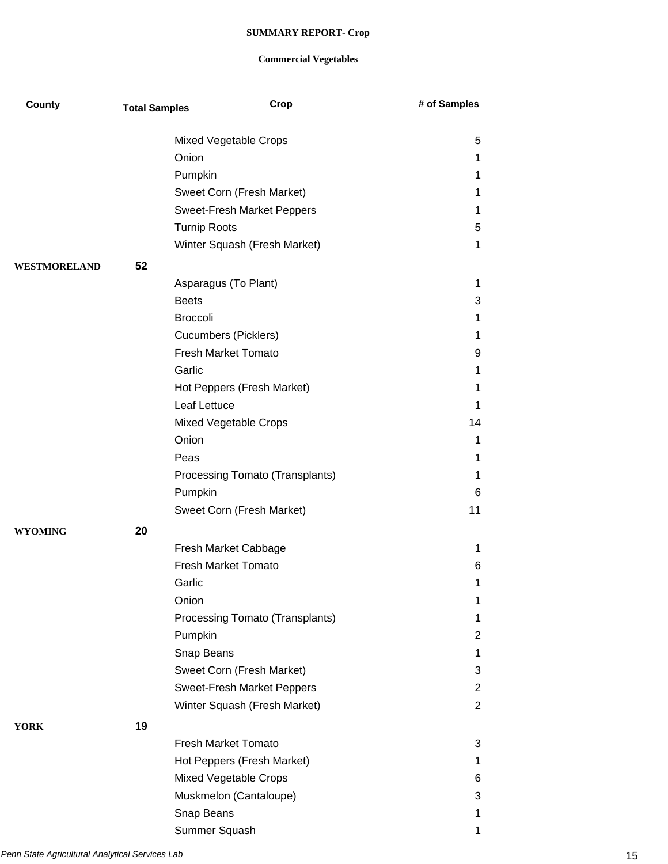| <b>County</b>  | <b>Total Samples</b> | Crop                            | # of Samples   |
|----------------|----------------------|---------------------------------|----------------|
|                |                      |                                 |                |
|                |                      | Mixed Vegetable Crops           | 5              |
|                |                      | Onion                           | 1              |
|                |                      | Pumpkin                         | 1              |
|                |                      | Sweet Corn (Fresh Market)       | 1              |
|                |                      | Sweet-Fresh Market Peppers      | 1              |
|                |                      | <b>Turnip Roots</b>             | 5              |
|                |                      | Winter Squash (Fresh Market)    | 1              |
| WESTMORELAND   | 52                   |                                 |                |
|                |                      | Asparagus (To Plant)            | 1              |
|                |                      | <b>Beets</b>                    | 3              |
|                |                      | <b>Broccoli</b>                 | 1              |
|                |                      | <b>Cucumbers (Picklers)</b>     | 1              |
|                |                      | <b>Fresh Market Tomato</b>      | 9              |
|                |                      | Garlic                          | 1              |
|                |                      | Hot Peppers (Fresh Market)      | 1              |
|                |                      | Leaf Lettuce                    | 1              |
|                |                      | Mixed Vegetable Crops           | 14             |
|                |                      | Onion                           | 1              |
|                |                      | Peas                            | 1              |
|                |                      | Processing Tomato (Transplants) | 1              |
|                |                      | Pumpkin                         | 6              |
|                |                      | Sweet Corn (Fresh Market)       | 11             |
| <b>WYOMING</b> | 20                   |                                 |                |
|                |                      | Fresh Market Cabbage            | 1              |
|                |                      | <b>Fresh Market Tomato</b>      | 6              |
|                |                      | Garlic                          | 1              |
|                |                      | Onion                           | 1              |
|                |                      | Processing Tomato (Transplants) | 1              |
|                |                      | Pumpkin                         | 2              |
|                |                      | Snap Beans                      | 1              |
|                |                      | Sweet Corn (Fresh Market)       | 3              |
|                |                      | Sweet-Fresh Market Peppers      | 2              |
|                |                      | Winter Squash (Fresh Market)    | $\overline{2}$ |
|                |                      |                                 |                |
| <b>YORK</b>    | 19                   | <b>Fresh Market Tomato</b>      | 3              |
|                |                      | Hot Peppers (Fresh Market)      | 1              |
|                |                      | Mixed Vegetable Crops           |                |
|                |                      |                                 | 6              |
|                |                      | Muskmelon (Cantaloupe)          | 3              |
|                |                      | Snap Beans                      | 1              |
|                |                      | Summer Squash                   | 1              |